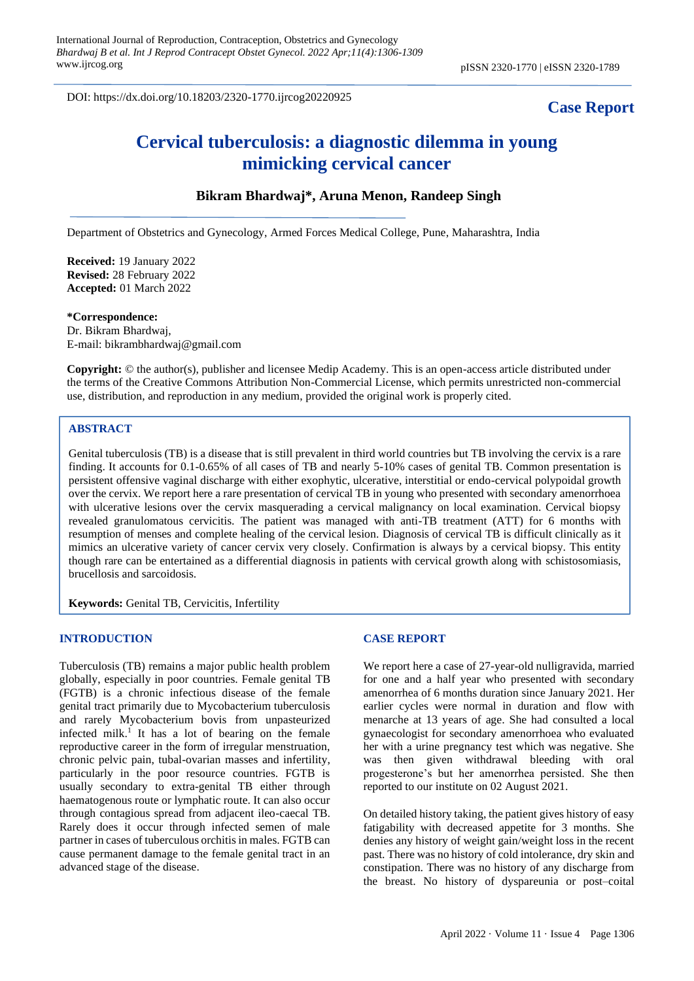DOI: https://dx.doi.org/10.18203/2320-1770.ijrcog20220925

# **Case Report**

# **Cervical tuberculosis: a diagnostic dilemma in young mimicking cervical cancer**

# **Bikram Bhardwaj\*, Aruna Menon, Randeep Singh**

Department of Obstetrics and Gynecology, Armed Forces Medical College, Pune, Maharashtra, India

**Received:** 19 January 2022 **Revised:** 28 February 2022 **Accepted:** 01 March 2022

**\*Correspondence:** Dr. Bikram Bhardwaj, E-mail: bikrambhardwaj@gmail.com

**Copyright:** © the author(s), publisher and licensee Medip Academy. This is an open-access article distributed under the terms of the Creative Commons Attribution Non-Commercial License, which permits unrestricted non-commercial use, distribution, and reproduction in any medium, provided the original work is properly cited.

# **ABSTRACT**

Genital tuberculosis (TB) is a disease that is still prevalent in third world countries but TB involving the cervix is a rare finding. It accounts for 0.1-0.65% of all cases of TB and nearly 5-10% cases of genital TB. Common presentation is persistent offensive vaginal discharge with either exophytic, ulcerative, interstitial or endo-cervical polypoidal growth over the cervix. We report here a rare presentation of cervical TB in young who presented with secondary amenorrhoea with ulcerative lesions over the cervix masquerading a cervical malignancy on local examination. Cervical biopsy revealed granulomatous cervicitis. The patient was managed with anti-TB treatment (ATT) for 6 months with resumption of menses and complete healing of the cervical lesion. Diagnosis of cervical TB is difficult clinically as it mimics an ulcerative variety of cancer cervix very closely. Confirmation is always by a cervical biopsy. This entity though rare can be entertained as a differential diagnosis in patients with cervical growth along with schistosomiasis, brucellosis and sarcoidosis.

**Keywords:** Genital TB, Cervicitis, Infertility

#### **INTRODUCTION**

Tuberculosis (TB) remains a major public health problem globally, especially in poor countries. Female genital TB (FGTB) is a chronic infectious disease of the female genital tract primarily due to Mycobacterium tuberculosis and rarely Mycobacterium bovis from unpasteurized infected milk. 1 It has a lot of bearing on the female reproductive career in the form of irregular menstruation, chronic pelvic pain, tubal-ovarian masses and infertility, particularly in the poor resource countries. FGTB is usually secondary to extra-genital TB either through haematogenous route or lymphatic route. It can also occur through contagious spread from adjacent ileo-caecal TB. Rarely does it occur through infected semen of male partner in cases of tuberculous orchitis in males. FGTB can cause permanent damage to the female genital tract in an advanced stage of the disease.

#### **CASE REPORT**

We report here a case of 27-year-old nulligravida, married for one and a half year who presented with secondary amenorrhea of 6 months duration since January 2021. Her earlier cycles were normal in duration and flow with menarche at 13 years of age. She had consulted a local gynaecologist for secondary amenorrhoea who evaluated her with a urine pregnancy test which was negative. She was then given withdrawal bleeding with oral progesterone's but her amenorrhea persisted. She then reported to our institute on 02 August 2021.

On detailed history taking, the patient gives history of easy fatigability with decreased appetite for 3 months. She denies any history of weight gain/weight loss in the recent past. There was no history of cold intolerance, dry skin and constipation. There was no history of any discharge from the breast. No history of dyspareunia or post–coital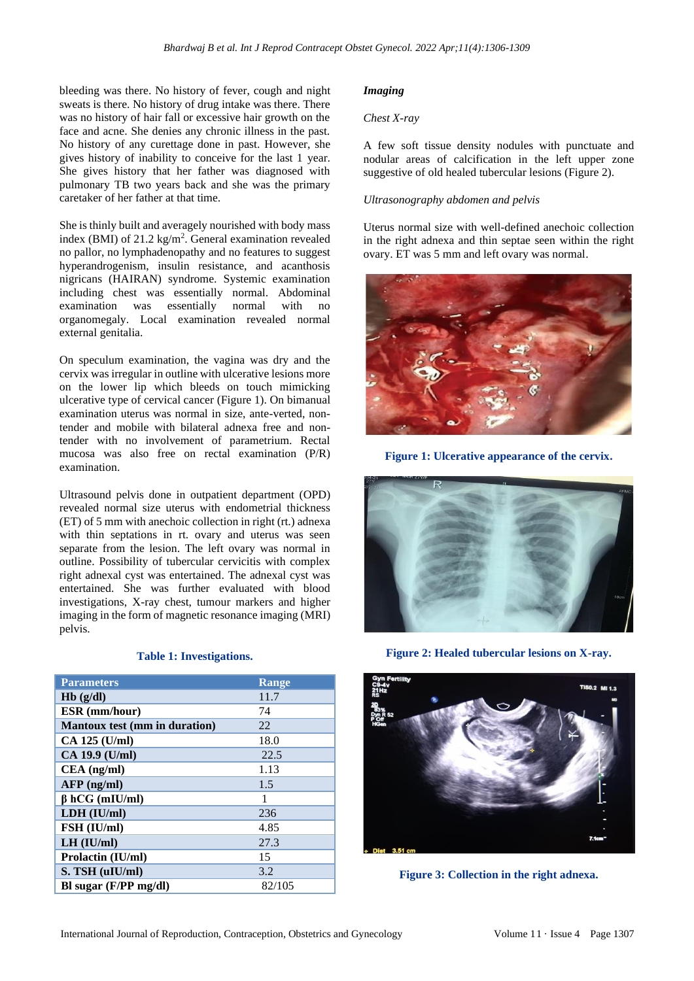bleeding was there. No history of fever, cough and night sweats is there. No history of drug intake was there. There was no history of hair fall or excessive hair growth on the face and acne. She denies any chronic illness in the past. No history of any curettage done in past. However, she gives history of inability to conceive for the last 1 year. She gives history that her father was diagnosed with pulmonary TB two years back and she was the primary caretaker of her father at that time.

She is thinly built and averagely nourished with body mass index (BMI) of 21.2 kg/m<sup>2</sup>. General examination revealed no pallor, no lymphadenopathy and no features to suggest hyperandrogenism, insulin resistance, and acanthosis nigricans (HAIRAN) syndrome. Systemic examination including chest was essentially normal. Abdominal examination was essentially normal with no organomegaly. Local examination revealed normal external genitalia.

On speculum examination, the vagina was dry and the cervix was irregular in outline with ulcerative lesions more on the lower lip which bleeds on touch mimicking ulcerative type of cervical cancer (Figure 1). On bimanual examination uterus was normal in size, ante-verted, nontender and mobile with bilateral adnexa free and nontender with no involvement of parametrium. Rectal mucosa was also free on rectal examination (P/R) examination.

Ultrasound pelvis done in outpatient department (OPD) revealed normal size uterus with endometrial thickness (ET) of 5 mm with anechoic collection in right (rt.) adnexa with thin septations in rt. ovary and uterus was seen separate from the lesion. The left ovary was normal in outline. Possibility of tubercular cervicitis with complex right adnexal cyst was entertained. The adnexal cyst was entertained. She was further evaluated with blood investigations, X-ray chest, tumour markers and higher imaging in the form of magnetic resonance imaging (MRI) pelvis.

#### **Table 1: Investigations.**

| <b>Parameters</b>                    | <b>Range</b> |
|--------------------------------------|--------------|
| Hb(g/dl)                             | 11.7         |
| <b>ESR</b> (mm/hour)                 | 74           |
| <b>Mantoux test (mm in duration)</b> | 22           |
| CA 125 (U/ml)                        | 18.0         |
| CA 19.9 (U/ml)                       | 22.5         |
| $CEA$ (ng/ml)                        | 1.13         |
| $AFP$ (ng/ml)                        | 1.5          |
| $\beta$ hCG (mIU/ml)                 | 1            |
| LDH (IU/ml)                          | 236          |
| FSH (IU/ml)                          | 4.85         |
| $LH$ ( $IU/ml$ )                     | 27.3         |
| <b>Prolactin (IU/ml)</b>             | 15           |
| S. TSH (uIU/ml)                      | 3.2          |
| Bl sugar $(F/PP \, mg/dl)$           | 82/105       |

# *Imaging*

# *Chest X-ray*

A few soft tissue density nodules with punctuate and nodular areas of calcification in the left upper zone suggestive of old healed tubercular lesions (Figure 2).

# *Ultrasonography abdomen and pelvis*

Uterus normal size with well-defined anechoic collection in the right adnexa and thin septae seen within the right ovary. ET was 5 mm and left ovary was normal.



**Figure 1: Ulcerative appearance of the cervix.**



**Figure 2: Healed tubercular lesions on X-ray.**



**Figure 3: Collection in the right adnexa.**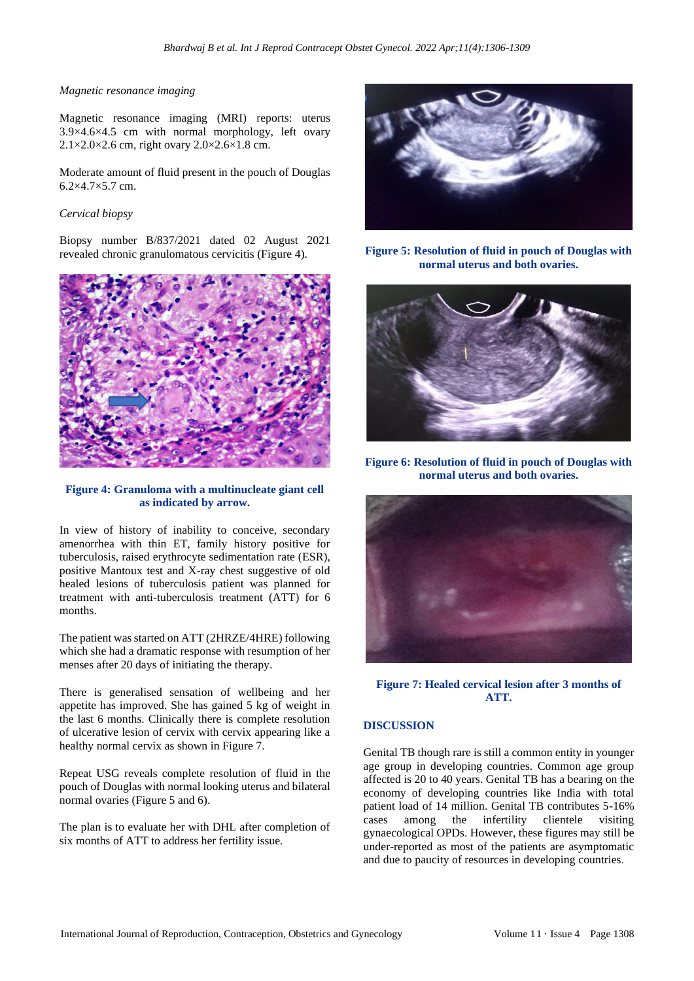#### *Magnetic resonance imaging*

Magnetic resonance imaging (MRI) reports: uterus 3.9×4.6×4.5 cm with normal morphology, left ovary  $2.1\times2.0\times2.6$  cm, right ovary  $2.0\times2.6\times1.8$  cm.

Moderate amount of fluid present in the pouch of Douglas 6.2×4.7×5.7 cm.

#### *Cervical biopsy*

Biopsy number B/837/2021 dated 02 August 2021 revealed chronic granulomatous cervicitis (Figure 4).



# **Figure 4: Granuloma with a multinucleate giant cell as indicated by arrow.**

In view of history of inability to conceive, secondary amenorrhea with thin ET, family history positive for tuberculosis, raised erythrocyte sedimentation rate (ESR), positive Mantoux test and X-ray chest suggestive of old healed lesions of tuberculosis patient was planned for treatment with anti-tuberculosis treatment (ATT) for 6 months.

The patient was started on ATT (2HRZE/4HRE) following which she had a dramatic response with resumption of her menses after 20 days of initiating the therapy.

There is generalised sensation of wellbeing and her appetite has improved. She has gained 5 kg of weight in the last 6 months. Clinically there is complete resolution of ulcerative lesion of cervix with cervix appearing like a healthy normal cervix as shown in Figure 7.

Repeat USG reveals complete resolution of fluid in the pouch of Douglas with normal looking uterus and bilateral normal ovaries (Figure 5 and 6).

The plan is to evaluate her with DHL after completion of six months of ATT to address her fertility issue.



**Figure 5: Resolution of fluid in pouch of Douglas with normal uterus and both ovaries.**



**Figure 6: Resolution of fluid in pouch of Douglas with normal uterus and both ovaries.**



**Figure 7: Healed cervical lesion after 3 months of ATT.**

#### **DISCUSSION**

Genital TB though rare is still a common entity in younger age group in developing countries. Common age group affected is 20 to 40 years. Genital TB has a bearing on the economy of developing countries like India with total patient load of 14 million. Genital TB contributes 5-16% cases among the infertility clientele visiting gynaecological OPDs. However, these figures may still be under-reported as most of the patients are asymptomatic and due to paucity of resources in developing countries.